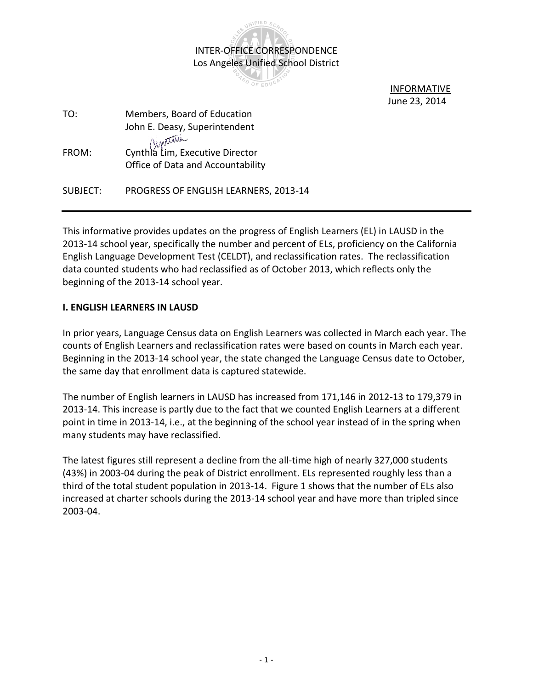

 INFORMATIVE June 23, 2014

| TO:      | Members, Board of Education                                          |  |  |  |  |
|----------|----------------------------------------------------------------------|--|--|--|--|
|          | John E. Deasy, Superintendent                                        |  |  |  |  |
| FROM:    | Cynthia Lim, Executive Director<br>Office of Data and Accountability |  |  |  |  |
| SUBJECT: | PROGRESS OF ENGLISH LEARNERS, 2013-14                                |  |  |  |  |

This informative provides updates on the progress of English Learners (EL) in LAUSD in the 2013-14 school year, specifically the number and percent of ELs, proficiency on the California English Language Development Test (CELDT), and reclassification rates. The reclassification data counted students who had reclassified as of October 2013, which reflects only the beginning of the 2013-14 school year.

## **I. ENGLISH LEARNERS IN LAUSD**

In prior years, Language Census data on English Learners was collected in March each year. The counts of English Learners and reclassification rates were based on counts in March each year. Beginning in the 2013-14 school year, the state changed the Language Census date to October, the same day that enrollment data is captured statewide.

The number of English learners in LAUSD has increased from 171,146 in 2012-13 to 179,379 in 2013-14. This increase is partly due to the fact that we counted English Learners at a different point in time in 2013-14, i.e., at the beginning of the school year instead of in the spring when many students may have reclassified.

The latest figures still represent a decline from the all-time high of nearly 327,000 students (43%) in 2003-04 during the peak of District enrollment. ELs represented roughly less than a third of the total student population in 2013-14. Figure 1 shows that the number of ELs also increased at charter schools during the 2013-14 school year and have more than tripled since 2003-04.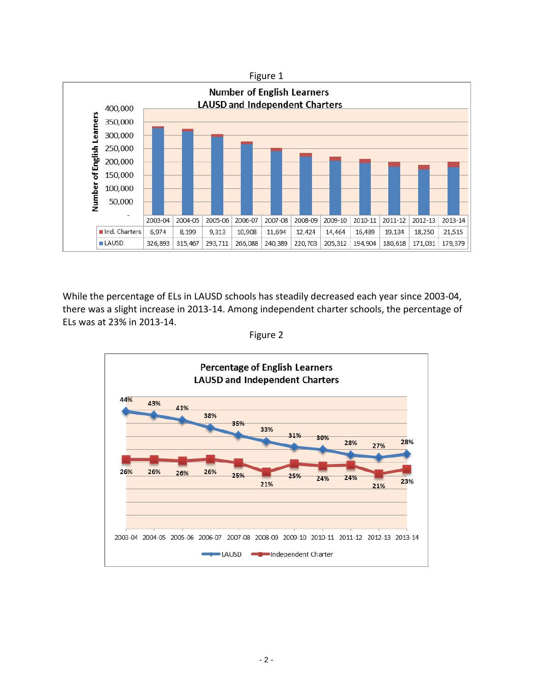

While the percentage of ELs in LAUSD schools has steadily decreased each year since 2003-04, there was a slight increase in 2013-14. Among independent charter schools, the percentage of ELs was at 23% in 2013-14.



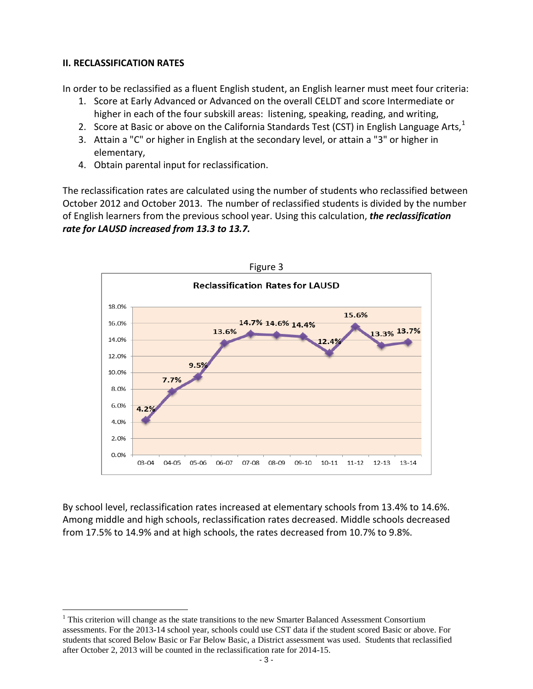## **II. RECLASSIFICATION RATES**

 $\overline{a}$ 

In order to be reclassified as a fluent English student, an English learner must meet four criteria:

- 1. Score at Early Advanced or Advanced on the overall CELDT and score Intermediate or higher in each of the four subskill areas: listening, speaking, reading, and writing,
- 2. Score at Basic or above on the California Standards Test (CST) in English Language Arts, $<sup>1</sup>$ </sup>
- 3. Attain a "C" or higher in English at the secondary level, or attain a "3" or higher in elementary,
- 4. Obtain parental input for reclassification.

The reclassification rates are calculated using the number of students who reclassified between October 2012 and October 2013. The number of reclassified students is divided by the number of English learners from the previous school year. Using this calculation, *the reclassification rate for LAUSD increased from 13.3 to 13.7.*



By school level, reclassification rates increased at elementary schools from 13.4% to 14.6%. Among middle and high schools, reclassification rates decreased. Middle schools decreased from 17.5% to 14.9% and at high schools, the rates decreased from 10.7% to 9.8%.

 $1$  This criterion will change as the state transitions to the new Smarter Balanced Assessment Consortium assessments. For the 2013-14 school year, schools could use CST data if the student scored Basic or above. For students that scored Below Basic or Far Below Basic, a District assessment was used. Students that reclassified after October 2, 2013 will be counted in the reclassification rate for 2014-15.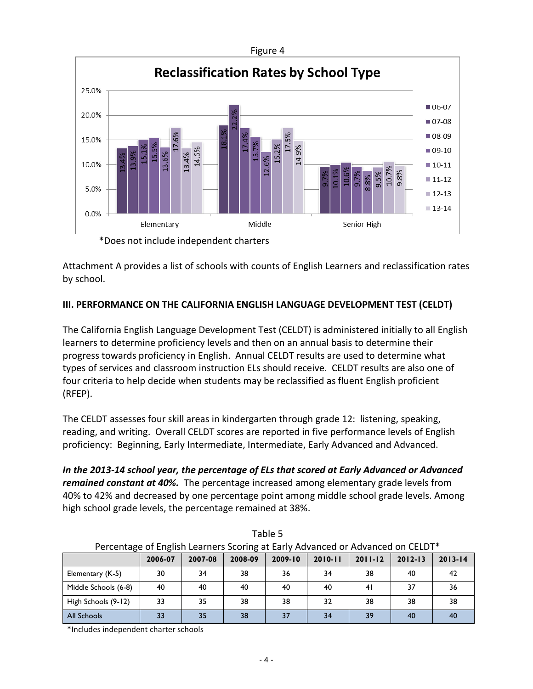

\*Does not include independent charters

Attachment A provides a list of schools with counts of English Learners and reclassification rates by school.

## **III. PERFORMANCE ON THE CALIFORNIA ENGLISH LANGUAGE DEVELOPMENT TEST (CELDT)**

The California English Language Development Test (CELDT) is administered initially to all English learners to determine proficiency levels and then on an annual basis to determine their progress towards proficiency in English. Annual CELDT results are used to determine what types of services and classroom instruction ELs should receive. CELDT results are also one of four criteria to help decide when students may be reclassified as fluent English proficient (RFEP).

The CELDT assesses four skill areas in kindergarten through grade 12: listening, speaking, reading, and writing. Overall CELDT scores are reported in five performance levels of English proficiency: Beginning, Early Intermediate, Intermediate, Early Advanced and Advanced.

*In the 2013-14 school year, the percentage of ELs that scored at Early Advanced or Advanced remained constant at 40%.* The percentage increased among elementary grade levels from 40% to 42% and decreased by one percentage point among middle school grade levels. Among high school grade levels, the percentage remained at 38%.

| Percentage of English Learners Scoring at Early Advanced or Advanced on CELDT. |         |         |         |             |             |             |             |             |  |  |
|--------------------------------------------------------------------------------|---------|---------|---------|-------------|-------------|-------------|-------------|-------------|--|--|
|                                                                                | 2006-07 | 2007-08 | 2008-09 | $2009 - 10$ | $2010 - 11$ | $2011 - 12$ | $2012 - 13$ | $2013 - 14$ |  |  |
| Elementary (K-5)                                                               | 30      | 34      | 38      | 36          | 34          | 38          | 40          | -42         |  |  |
| Middle Schools (6-8)                                                           | 40      | 40      | 40      | 40          | 40          | 41          | 37          | 36          |  |  |
| High Schools (9-12)                                                            | 33      | 35      | 38      | 38          | 32          | 38          | 38          | 38          |  |  |
| All Schools                                                                    | 33      | 35      | 38      | 37          | 34          | 39          | 40          | 40          |  |  |

Table 5 Percentage of English Learners Scoring at Early Advanced or Advanced on CELDT\*

\*Includes independent charter schools